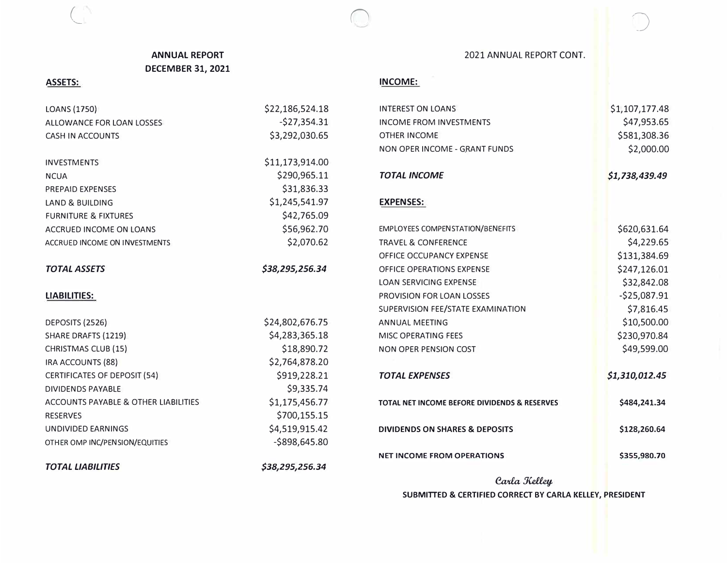# **ANNUAL REPORT DECEMBER 31, 2021**

## **ASSETS:**

 $\subset$ 

LOANS (1750) ALLOWANCE FOR LOAN LOSSES CASH IN ACCOUNTS INVESTMENTS **NCUA** PREPAID EXPENSES LAND & BUILDING FURNITURE & FIXTURES ACCRUED INCOME ON LOANS ACCRUED INCOME ON INVESTMENTS *TOTAL ASSETS*  **LIABILITIES:**  DEPOSITS (2526) SHARE DRAFTS (1219) CHRISTMAS CLUB (15) IRA ACCOUNTS (88) CERTIFICATES OF DEPOSIT (54) DIVIDENDS PAYABLE ACCOUNTS PAYABLE & OTHER LIABILITIES RESERVES UNDIVIDED EARNINGS OTHER OMP INC/PENSION/EQUITIES *TOTAL LIABILITIES*  \$22,186,524.18 -\$27,354.31 \$3,292,030.65 \$11,173,914.00 \$290,965.11 \$31,836.33 \$1,245,541.97 \$42,765.09 \$56,962.70 \$2,070.62 *\$38,295,256.34*  \$24,802,676.75 \$4,283,365.18 \$18,890.72 \$2,764,878.20 \$919,228.21 \$9,335.74 \$1,175,456.77 \$700,155.15 \$4,519,915.42 -\$898,645.80 *\$38,295,256.34*  OT *TOTAL INCOME*  EX AN *TOTAL EXPENSES*  2021 ANNUAL REPORT CONT.

### **INCOME:**

 $\bigcirc$ 

| <b>INTEREST ON LOANS</b>                     | \$1,107,177.48 |
|----------------------------------------------|----------------|
| <b>INCOME FROM INVESTMENTS</b>               | \$47,953.65    |
| <b>OTHER INCOME</b>                          | \$581,308.36   |
| NON OPER INCOME - GRANT FUNDS                | \$2,000.00     |
| <b>TOTAL INCOME</b>                          | \$1,738,439.49 |
| <b>EXPENSES:</b>                             |                |
| <b>EMPLOYEES COMPENSTATION/BENEFITS</b>      | \$620,631.64   |
| <b>TRAVEL &amp; CONFERENCE</b>               | \$4,229.65     |
| OFFICE OCCUPANCY EXPENSE                     | \$131,384.69   |
| <b>OFFICE OPERATIONS EXPENSE</b>             | \$247,126.01   |
| <b>LOAN SERVICING EXPENSE</b>                | \$32,842.08    |
| <b>PROVISION FOR LOAN LOSSES</b>             | $-$25,087.91$  |
| SUPERVISION FEE/STATE EXAMINATION            | \$7,816.45     |
| <b>ANNUAL MEETING</b>                        | \$10,500.00    |
| <b>MISC OPERATING FEES</b>                   | \$230,970.84   |
| <b>NON OPER PENSION COST</b>                 | \$49,599.00    |
| <b>TOTAL EXPENSES</b>                        | \$1,310,012.45 |
| TOTAL NET INCOME BEFORE DIVIDENDS & RESERVES | \$484,241.34   |
| <b>DIVIDENDS ON SHARES &amp; DEPOSITS</b>    | \$128,260.64   |
| <b>NET INCOME FROM OPERATIONS</b>            | \$355,980.70   |
|                                              |                |

*Carla Kelley* **SUBMITTED** & **CERTIFIED CORRECT BY CARLA KELLEY, PRESIDENT** 

/�